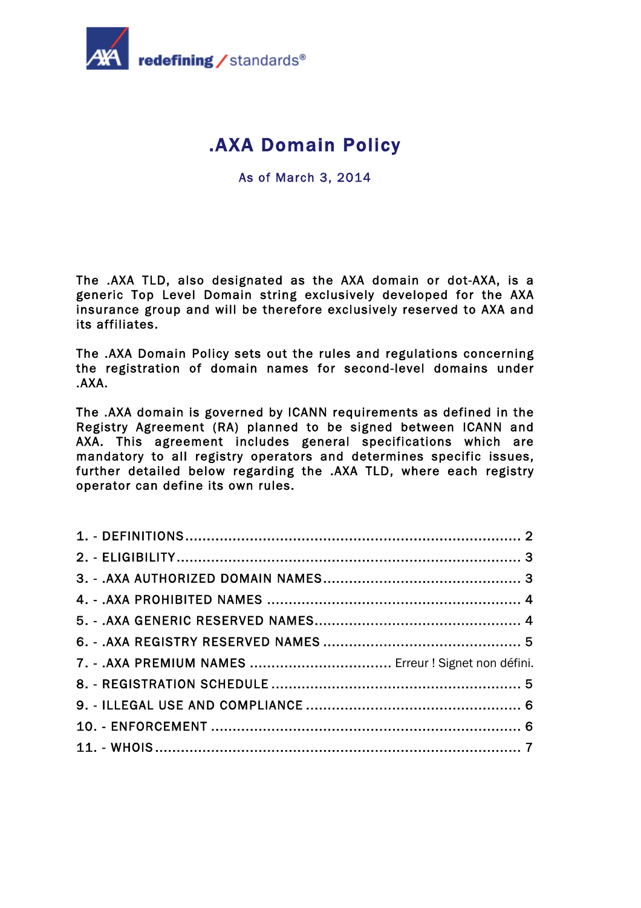

# .AXA Domain Policy

As of March 3, 2014

The .AXA TLD, also designated as the AXA domain or dot-AXA, is a generic Top Level Domain string exclusively developed for the AXA insurance group and will be therefore exclusively reserved to AXA and its affiliates.

The .AXA Domain Policy sets out the rules and regulations concerning the registration of domain names for second-level domains under .AXA.

The .AXA domain is governed by ICANN requirements as defined in the Registry Agreement (RA) planned to be signed between ICANN and AXA. This agreement includes general specifications which are mandatory to all registry operators and determines specific issues, further detailed below regarding the .AXA TLD, where each registry operator can define its own rules.

| 7. - . AXA PREMIUM NAMES  Erreur ! Signet non défini. |  |
|-------------------------------------------------------|--|
|                                                       |  |
|                                                       |  |
|                                                       |  |
|                                                       |  |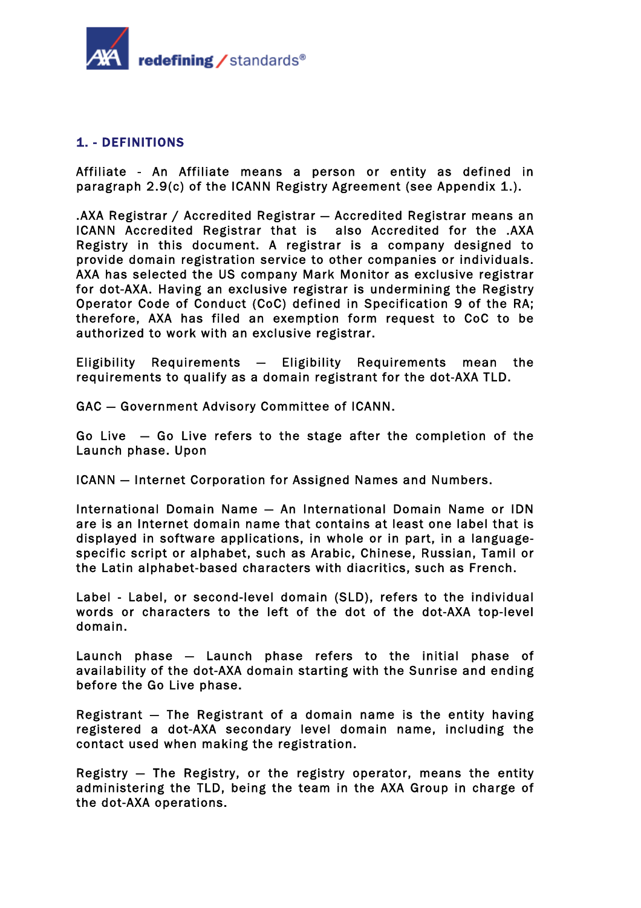

## 1. - DEFINITIONS

Affiliate - An Affiliate means a person or entity as defined in paragraph 2.9(c) of the ICANN Registry Agreement (see Appendix 1.).

.AXA Registrar / Accredited Registrar — Accredited Registrar means an ICANN Accredited Registrar that is also Accredited for the .AXA Registry in this document. A registrar is a company designed to provide domain registration service to other companies or individuals. AXA has selected the US company Mark Monitor as exclusive registrar for dot-AXA. Having an exclusive registrar is undermining the Registry Operator Code of Conduct (CoC) defined in Specification 9 of the RA; therefore, AXA has filed an exemption form request to CoC to be authorized to work with an exclusive registrar.

Eligibility Requirements — Eligibility Requirements mean the requirements to qualify as a domain registrant for the dot-AXA TLD.

GAC — Government Advisory Committee of ICANN.

Go Live  $-$  Go Live refers to the stage after the completion of the Launch phase. Upon

ICANN — Internet Corporation for Assigned Names and Numbers.

International Domain Name — An International Domain Name or IDN are is an Internet domain name that contains at least one label that is displayed in software applications, in whole or in part, in a languagespecific script or alphabet, such as Arabic, Chinese, Russian, Tamil or the Latin alphabet-based characters with diacritics, such as French.

Label - Label, or second-level domain (SLD), refers to the individual words or characters to the left of the dot of the dot-AXA top-level domain.

Launch phase — Launch phase refers to the initial phase of availability of the dot-AXA domain starting with the Sunrise and ending before the Go Live phase.

Registrant — The Registrant of a domain name is the entity having registered a dot-AXA secondary level domain name, including the contact used when making the registration.

Registry — The Registry, or the registry operator, means the entity administering the TLD, being the team in the AXA Group in charge of the dot-AXA operations.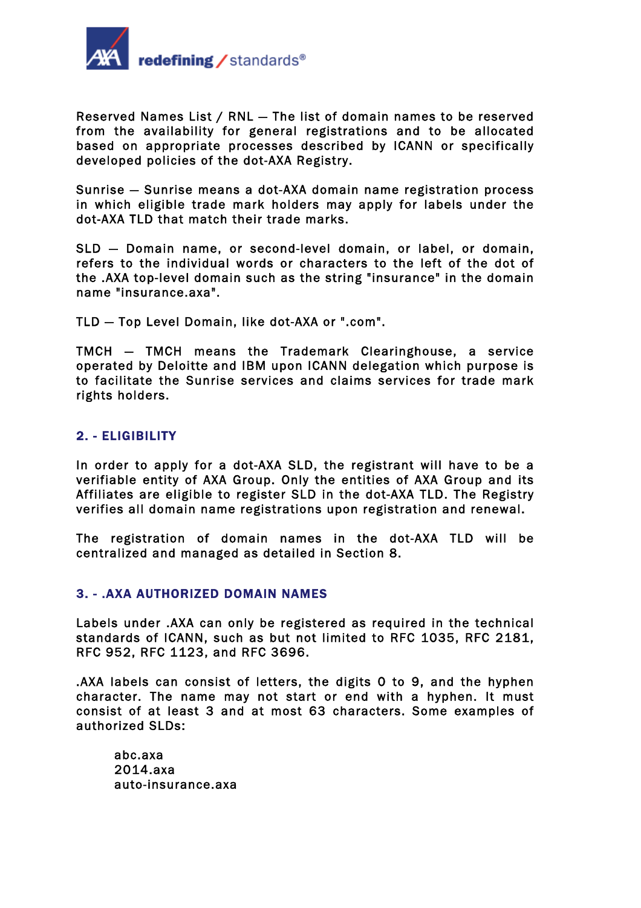

Reserved Names List / RNL — The list of domain names to be reserved from the availability for general registrations and to be allocated based on appropriate processes described by ICANN or specifically developed policies of the dot-AXA Registry.

Sunrise — Sunrise means a dot-AXA domain name registration process in which eligible trade mark holders may apply for labels under the dot-AXA TLD that match their trade marks.

SLD — Domain name, or second-level domain, or label, or domain, refers to the individual words or characters to the left of the dot of the .AXA top-level domain such as the string "insurance" in the domain name "insurance.axa".

TLD — Top Level Domain, like dot-AXA or ".com".

TMCH — TMCH means the Trademark Clearinghouse, a service operated by Deloitte and IBM upon ICANN delegation which purpose is to facilitate the Sunrise services and claims services for trade mark rights holders.

### 2. - ELIGIBILITY

In order to apply for a dot-AXA SLD, the registrant will have to be a verifiable entity of AXA Group. Only the entities of AXA Group and its Affiliates are eligible to register SLD in the dot-AXA TLD. The Registry verifies all domain name registrations upon registration and renewal.

The registration of domain names in the dot-AXA TLD will be centralized and managed as detailed in Section 8.

#### 3. - .AXA AUTHORIZED DOMAIN NAMES

Labels under .AXA can only be registered as required in the technical standards of ICANN, such as but not limited to RFC 1035, RFC 2181, RFC 952, RFC 1123, and RFC 3696.

.AXA labels can consist of letters, the digits 0 to 9, and the hyphen character. The name may not start or end with a hyphen. It must consist of at least 3 and at most 63 characters. Some examples of authorized SLDs:

abc.axa 2014.axa auto-insurance.axa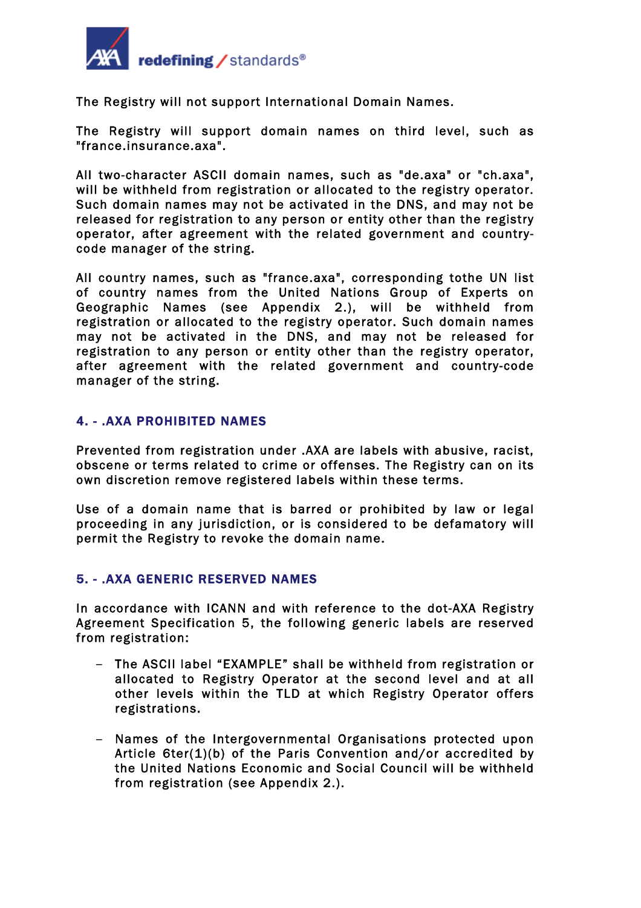

The Registry will not support International Domain Names.

The Registry will support domain names on third level, such as "france.insurance.axa".

All two-character ASCII domain names, such as "de.axa" or "ch.axa", will be withheld from registration or allocated to the registry operator. Such domain names may not be activated in the DNS, and may not be released for registration to any person or entity other than the registry operator, after agreement with the related government and countrycode manager of the string.

All country names, such as "france.axa", corresponding tothe UN list of country names from the United Nations Group of Experts on Geographic Names (see Appendix 2.), will be withheld from registration or allocated to the registry operator. Such domain names may not be activated in the DNS, and may not be released for registration to any person or entity other than the registry operator, after agreement with the related government and country-code manager of the string.

## 4. - .AXA PROHIBITED NAMES

Prevented from registration under .AXA are labels with abusive, racist, obscene or terms related to crime or offenses. The Registry can on its own discretion remove registered labels within these terms.

Use of a domain name that is barred or prohibited by law or legal proceeding in any jurisdiction, or is considered to be defamatory will permit the Registry to revoke the domain name.

## 5. - .AXA GENERIC RESERVED NAMES

In accordance with ICANN and with reference to the dot-AXA Registry Agreement Specification 5, the following generic labels are reserved from registration:

- − The ASCII label "EXAMPLE" shall be withheld from registration or allocated to Registry Operator at the second level and at all other levels within the TLD at which Registry Operator offers registrations.
- − Names of the Intergovernmental Organisations protected upon Article 6ter(1)(b) of the Paris Convention and/or accredited by the United Nations Economic and Social Council will be withheld from registration (see Appendix 2.).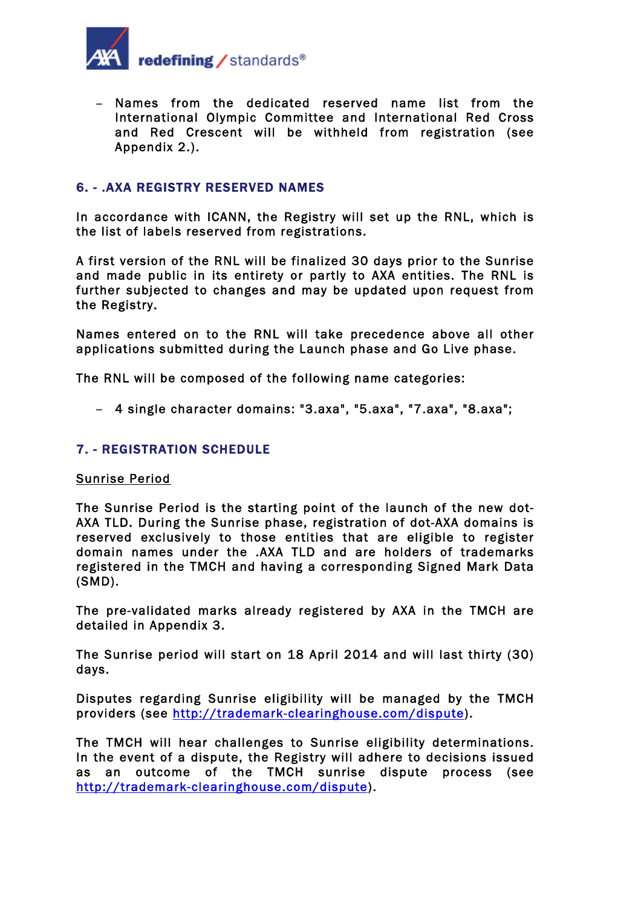

− Names from the dedicated reserved name list from the International Olympic Committee and International Red Cross and Red Crescent will be withheld from registration (see Appendix 2.).

## 6. - .AXA REGISTRY RESERVED NAMES

In accordance with ICANN, the Registry will set up the RNL, which is the list of labels reserved from registrations.

A first version of the RNL will be finalized 30 days prior to the Sunrise and made public in its entirety or partly to AXA entities. The RNL is further subjected to changes and may be updated upon request from the Registry.

Names entered on to the RNL will take precedence above all other applications submitted during the Launch phase and Go Live phase.

The RNL will be composed of the following name categories:

− 4 single character domains: "3.axa", "5.axa", "7.axa", "8.axa";

## 7. - REGISTRATION SCHEDULE

### Sunrise Period

The Sunrise Period is the starting point of the launch of the new dot-AXA TLD. During the Sunrise phase, registration of dot-AXA domains is reserved exclusively to those entities that are eligible to register domain names under the .AXA TLD and are holders of trademarks registered in the TMCH and having a corresponding Signed Mark Data (SMD).

The pre-validated marks already registered by AXA in the TMCH are detailed in Appendix 3.

The Sunrise period will start on 18 April 2014 and will last thirty (30) days.

Disputes regarding Sunrise eligibility will be managed by the TMCH providers (see http://trademark-clearinghouse.com/dispute).

The TMCH will hear challenges to Sunrise eligibility determinations. In the event of a dispute, the Registry will adhere to decisions issued as an outcome of the TMCH sunrise dispute process (see http://trademark-clearinghouse.com/dispute).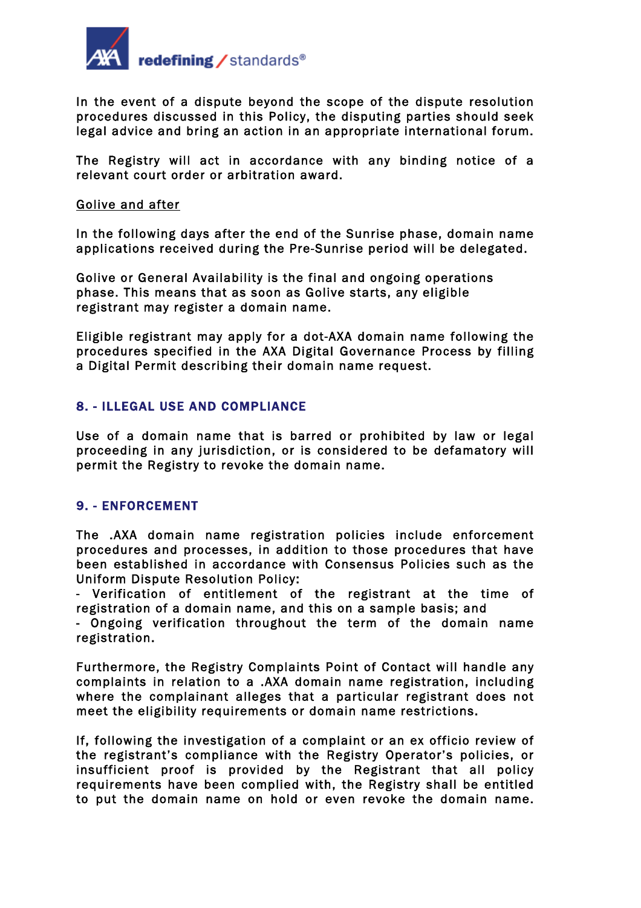

In the event of a dispute beyond the scope of the dispute resolution procedures discussed in this Policy, the disputing parties should seek legal advice and bring an action in an appropriate international forum.

The Registry will act in accordance with any binding notice of a relevant court order or arbitration award.

#### Golive and after

In the following days after the end of the Sunrise phase, domain name applications received during the Pre-Sunrise period will be delegated.

Golive or General Availability is the final and ongoing operations phase. This means that as soon as Golive starts, any eligible registrant may register a domain name.

Eligible registrant may apply for a dot-AXA domain name following the procedures specified in the AXA Digital Governance Process by filling a Digital Permit describing their domain name request.

### 8. - ILLEGAL USE AND COMPLIANCE

Use of a domain name that is barred or prohibited by law or legal proceeding in any jurisdiction, or is considered to be defamatory will permit the Registry to revoke the domain name.

## 9. - ENFORCEMENT

The .AXA domain name registration policies include enforcement procedures and processes, in addition to those procedures that have been established in accordance with Consensus Policies such as the Uniform Dispute Resolution Policy:

- Verification of entitlement of the registrant at the time of registration of a domain name, and this on a sample basis; and

- Ongoing verification throughout the term of the domain name registration.

Furthermore, the Registry Complaints Point of Contact will handle any complaints in relation to a .AXA domain name registration, including where the complainant alleges that a particular registrant does not meet the eligibility requirements or domain name restrictions.

If, following the investigation of a complaint or an ex officio review of the registrant's compliance with the Registry Operator's policies, or insufficient proof is provided by the Registrant that all policy requirements have been complied with, the Registry shall be entitled to put the domain name on hold or even revoke the domain name.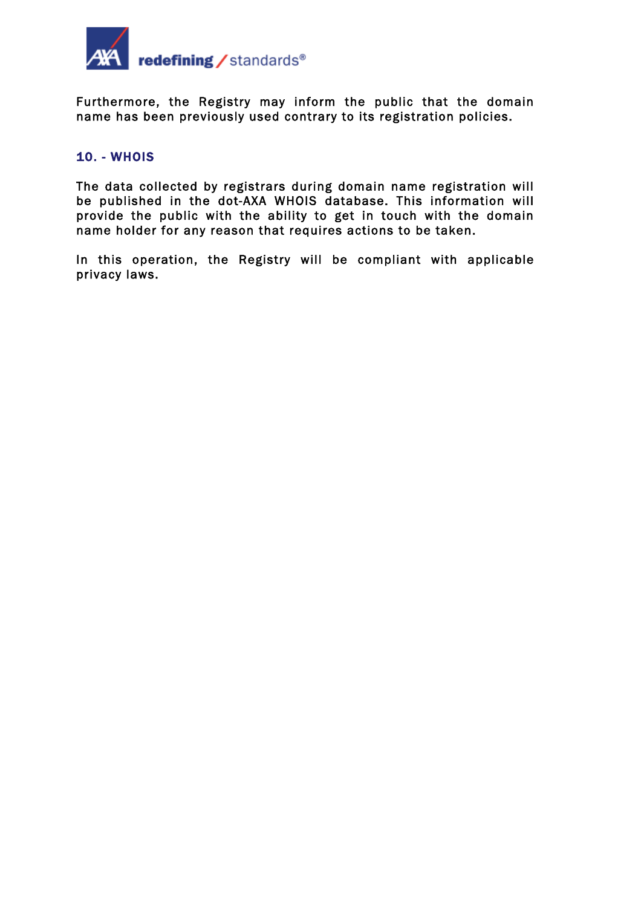

Furthermore, the Registry may inform the public that the domain name has been previously used contrary to its registration policies.

## 10. - WHOIS

The data collected by registrars during domain name registration will be published in the dot-AXA WHOIS database. This information will provide the public with the ability to get in touch with the domain name holder for any reason that requires actions to be taken.

In this operation, the Registry will be compliant with applicable privacy laws.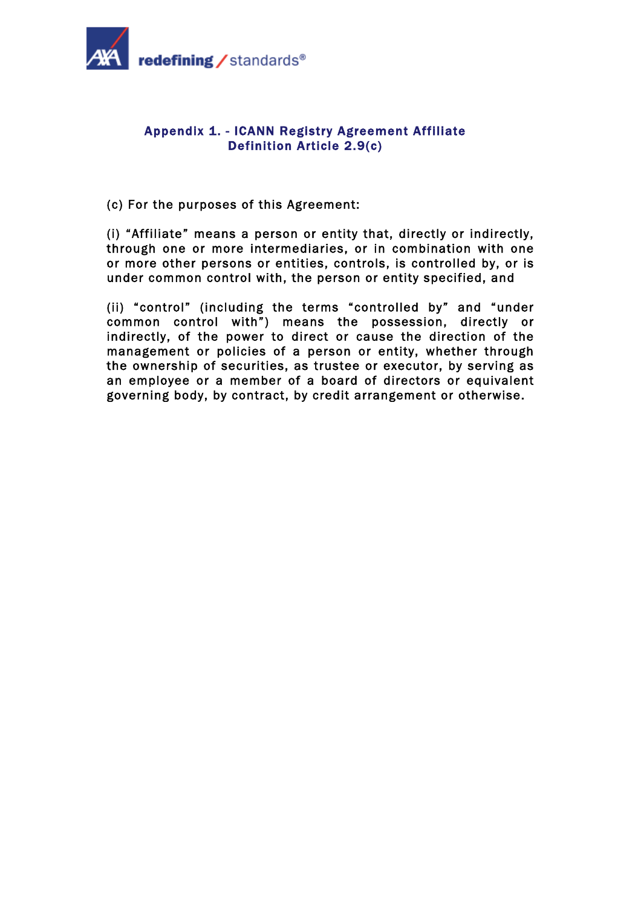

## Appendix 1. - ICANN Registry Agreement Affiliate Definition Article 2.9(c)

(c) For the purposes of this Agreement:

(i) "Affiliate" means a person or entity that, directly or indirectly, through one or more intermediaries, or in combination with one or more other persons or entities, controls, is controlled by, or is under common control with, the person or entity specified, and

(ii) "control" (including the terms "controlled by" and "under common control with") means the possession, directly or indirectly, of the power to direct or cause the direction of the management or policies of a person or entity, whether through the ownership of securities, as trustee or executor, by serving as an employee or a member of a board of directors or equivalent governing body, by contract, by credit arrangement or otherwise.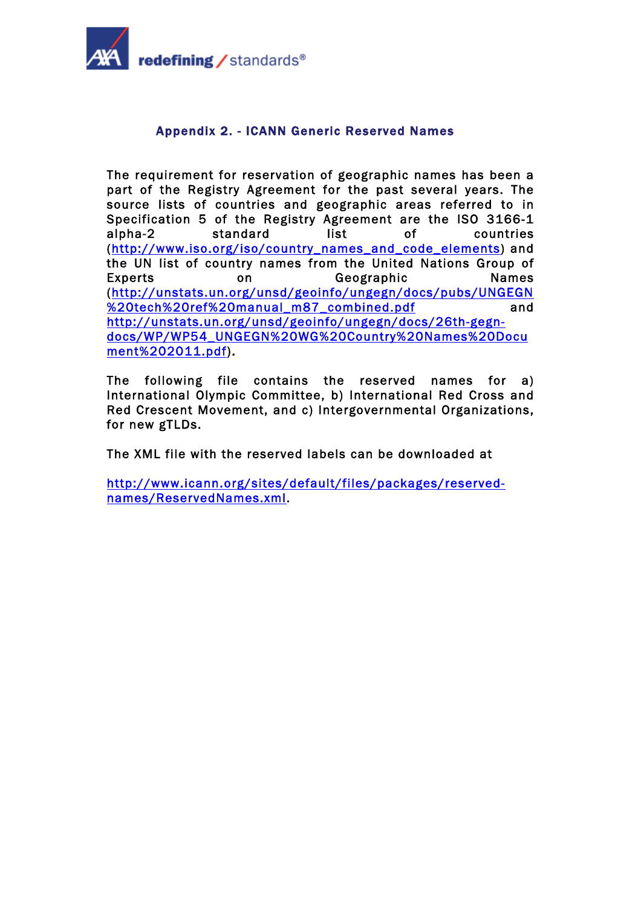

## Appendix 2. - ICANN Generic Reserved Names

The requirement for reservation of geographic names has been a part of the Registry Agreement for the past several years. The source lists of countries and geographic areas referred to in Specification 5 of the Registry Agreement are the ISO 3166-1 alpha-2 standard list of countries (http://www.iso.org/iso/country\_names\_and\_code\_elements) and the UN list of country names from the United Nations Group of Experts on Geographic Names (http://unstats.un.org/unsd/geoinfo/ungegn/docs/pubs/UNGEGN %20tech%20ref%20manual\_m87\_combined.pdf and http://unstats.un.org/unsd/geoinfo/ungegn/docs/26th-gegndocs/WP/WP54\_UNGEGN%20WG%20Country%20Names%20Docu ment%202011.pdf).

The following file contains the reserved names for a) International Olympic Committee, b) International Red Cross and Red Crescent Movement, and c) Intergovernmental Organizations, for new gTLDs.

The XML file with the reserved labels can be downloaded at

http://www.icann.org/sites/default/files/packages/reservednames/ReservedNames.xml.